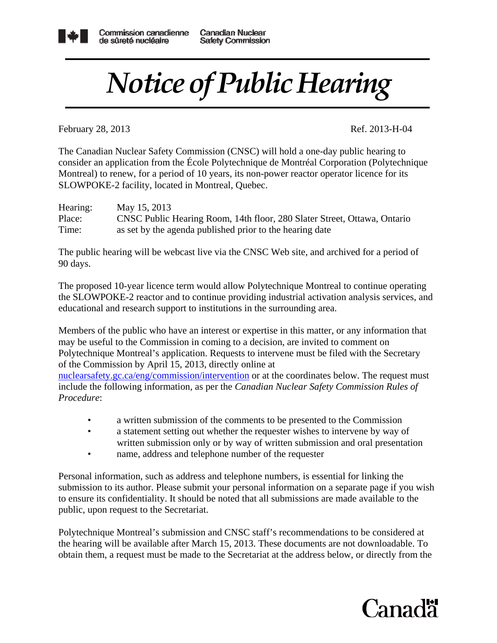

## *Notice of Public Hearing*

February 28, 2013 Ref. 2013-H-04

The Canadian Nuclear Safety Commission (CNSC) will hold a one-day public hearing to consider an application from the École Polytechnique de Montréal Corporation (Polytechnique Montreal) to renew, for a period of 10 years, its non-power reactor operator licence for its SLOWPOKE-2 facility, located in Montreal, Quebec.

| Hearing: | May 15, 2013                                                             |
|----------|--------------------------------------------------------------------------|
| Place:   | CNSC Public Hearing Room, 14th floor, 280 Slater Street, Ottawa, Ontario |
| Time:    | as set by the agenda published prior to the hearing date                 |

The public hearing will be webcast live via the CNSC Web site, and archived for a period of 90 days.

The proposed 10-year licence term would allow Polytechnique Montreal to continue operating the SLOWPOKE-2 reactor and to continue providing industrial activation analysis services, and educational and research support to institutions in the surrounding area.

Members of the public who have an interest or expertise in this matter, or any information that may be useful to the Commission in coming to a decision, are invited to comment on Polytechnique Montreal's application. Requests to intervene must be filed with the Secretary of the Commission by April 15, 2013, directly online at

nuclearsafety.gc.ca/eng/commission/intervention or at the coordinates below. The request must include the following information, as per the *Canadian Nuclear Safety Commission Rules of Procedure*:

- a written submission of the comments to be presented to the Commission
- a statement setting out whether the requester wishes to intervene by way of written submission only or by way of written submission and oral presentation
- name, address and telephone number of the requester

Personal information, such as address and telephone numbers, is essential for linking the submission to its author. Please submit your personal information on a separate page if you wish to ensure its confidentiality. It should be noted that all submissions are made available to the public, upon request to the Secretariat.

Polytechnique Montreal's submission and CNSC staff's recommendations to be considered at the hearing will be available after March 15, 2013. These documents are not downloadable. To obtain them, a request must be made to the Secretariat at the address below, or directly from the

## Canadä